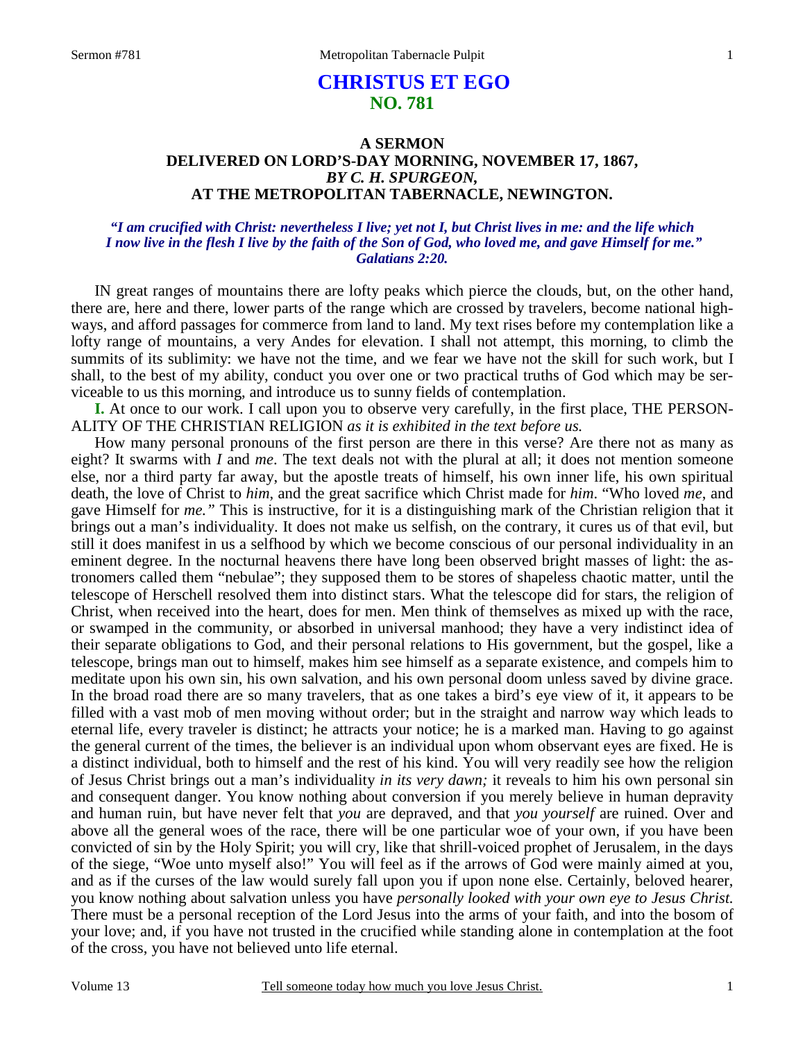# **CHRISTUS ET EGO NO. 781**

## **A SERMON DELIVERED ON LORD'S-DAY MORNING, NOVEMBER 17, 1867,** *BY C. H. SPURGEON,*  **AT THE METROPOLITAN TABERNACLE, NEWINGTON.**

### *"I am crucified with Christ: nevertheless I live; yet not I, but Christ lives in me: and the life which I now live in the flesh I live by the faith of the Son of God, who loved me, and gave Himself for me." Galatians 2:20.*

IN great ranges of mountains there are lofty peaks which pierce the clouds, but, on the other hand, there are, here and there, lower parts of the range which are crossed by travelers, become national highways, and afford passages for commerce from land to land. My text rises before my contemplation like a lofty range of mountains, a very Andes for elevation. I shall not attempt, this morning, to climb the summits of its sublimity: we have not the time, and we fear we have not the skill for such work, but I shall, to the best of my ability, conduct you over one or two practical truths of God which may be serviceable to us this morning, and introduce us to sunny fields of contemplation.

**I.** At once to our work. I call upon you to observe very carefully, in the first place, THE PERSON-ALITY OF THE CHRISTIAN RELIGION *as it is exhibited in the text before us.*

 How many personal pronouns of the first person are there in this verse? Are there not as many as eight? It swarms with *I* and *me*. The text deals not with the plural at all; it does not mention someone else, nor a third party far away, but the apostle treats of himself, his own inner life, his own spiritual death, the love of Christ to *him*, and the great sacrifice which Christ made for *him*. "Who loved *me*, and gave Himself for *me."* This is instructive, for it is a distinguishing mark of the Christian religion that it brings out a man's individuality. It does not make us selfish, on the contrary, it cures us of that evil, but still it does manifest in us a selfhood by which we become conscious of our personal individuality in an eminent degree. In the nocturnal heavens there have long been observed bright masses of light: the astronomers called them "nebulae"; they supposed them to be stores of shapeless chaotic matter, until the telescope of Herschell resolved them into distinct stars. What the telescope did for stars, the religion of Christ, when received into the heart, does for men. Men think of themselves as mixed up with the race, or swamped in the community, or absorbed in universal manhood; they have a very indistinct idea of their separate obligations to God, and their personal relations to His government, but the gospel, like a telescope, brings man out to himself, makes him see himself as a separate existence, and compels him to meditate upon his own sin, his own salvation, and his own personal doom unless saved by divine grace. In the broad road there are so many travelers, that as one takes a bird's eye view of it, it appears to be filled with a vast mob of men moving without order; but in the straight and narrow way which leads to eternal life, every traveler is distinct; he attracts your notice; he is a marked man. Having to go against the general current of the times, the believer is an individual upon whom observant eyes are fixed. He is a distinct individual, both to himself and the rest of his kind. You will very readily see how the religion of Jesus Christ brings out a man's individuality *in its very dawn;* it reveals to him his own personal sin and consequent danger. You know nothing about conversion if you merely believe in human depravity and human ruin, but have never felt that *you* are depraved, and that *you yourself* are ruined. Over and above all the general woes of the race, there will be one particular woe of your own, if you have been convicted of sin by the Holy Spirit; you will cry, like that shrill-voiced prophet of Jerusalem, in the days of the siege, "Woe unto myself also!" You will feel as if the arrows of God were mainly aimed at you, and as if the curses of the law would surely fall upon you if upon none else. Certainly, beloved hearer, you know nothing about salvation unless you have *personally looked with your own eye to Jesus Christ.* There must be a personal reception of the Lord Jesus into the arms of your faith, and into the bosom of your love; and, if you have not trusted in the crucified while standing alone in contemplation at the foot of the cross, you have not believed unto life eternal.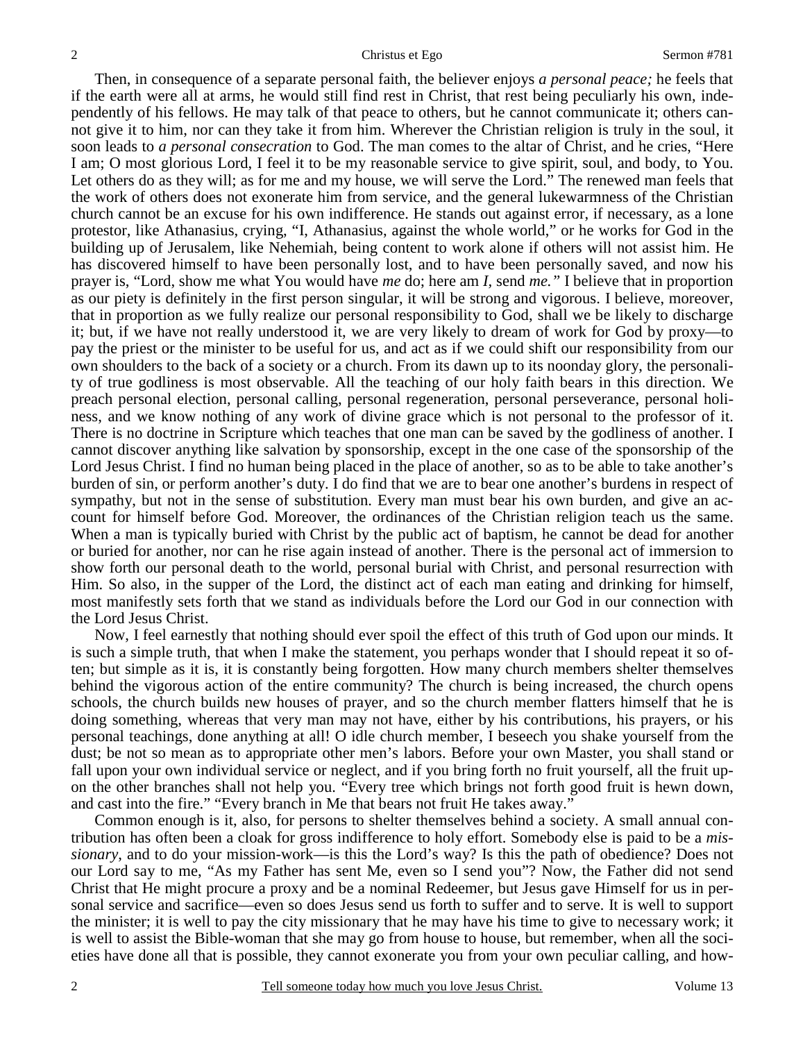Then, in consequence of a separate personal faith, the believer enjoys *a personal peace;* he feels that if the earth were all at arms, he would still find rest in Christ, that rest being peculiarly his own, independently of his fellows. He may talk of that peace to others, but he cannot communicate it; others cannot give it to him, nor can they take it from him. Wherever the Christian religion is truly in the soul, it soon leads to *a personal consecration* to God. The man comes to the altar of Christ, and he cries, "Here I am; O most glorious Lord, I feel it to be my reasonable service to give spirit, soul, and body, to You. Let others do as they will; as for me and my house, we will serve the Lord." The renewed man feels that the work of others does not exonerate him from service, and the general lukewarmness of the Christian church cannot be an excuse for his own indifference. He stands out against error, if necessary, as a lone protestor, like Athanasius, crying, "I, Athanasius, against the whole world," or he works for God in the building up of Jerusalem, like Nehemiah, being content to work alone if others will not assist him. He has discovered himself to have been personally lost, and to have been personally saved, and now his prayer is, "Lord, show me what You would have *me* do; here am *I,* send *me."* I believe that in proportion as our piety is definitely in the first person singular, it will be strong and vigorous. I believe, moreover, that in proportion as we fully realize our personal responsibility to God, shall we be likely to discharge it; but, if we have not really understood it, we are very likely to dream of work for God by proxy—to pay the priest or the minister to be useful for us, and act as if we could shift our responsibility from our own shoulders to the back of a society or a church. From its dawn up to its noonday glory, the personality of true godliness is most observable. All the teaching of our holy faith bears in this direction. We preach personal election, personal calling, personal regeneration, personal perseverance, personal holiness, and we know nothing of any work of divine grace which is not personal to the professor of it. There is no doctrine in Scripture which teaches that one man can be saved by the godliness of another. I cannot discover anything like salvation by sponsorship, except in the one case of the sponsorship of the Lord Jesus Christ. I find no human being placed in the place of another, so as to be able to take another's burden of sin, or perform another's duty. I do find that we are to bear one another's burdens in respect of sympathy, but not in the sense of substitution. Every man must bear his own burden, and give an account for himself before God. Moreover, the ordinances of the Christian religion teach us the same. When a man is typically buried with Christ by the public act of baptism, he cannot be dead for another or buried for another, nor can he rise again instead of another. There is the personal act of immersion to show forth our personal death to the world, personal burial with Christ, and personal resurrection with Him. So also, in the supper of the Lord, the distinct act of each man eating and drinking for himself, most manifestly sets forth that we stand as individuals before the Lord our God in our connection with the Lord Jesus Christ.

 Now, I feel earnestly that nothing should ever spoil the effect of this truth of God upon our minds. It is such a simple truth, that when I make the statement, you perhaps wonder that I should repeat it so often; but simple as it is, it is constantly being forgotten. How many church members shelter themselves behind the vigorous action of the entire community? The church is being increased, the church opens schools, the church builds new houses of prayer, and so the church member flatters himself that he is doing something, whereas that very man may not have, either by his contributions, his prayers, or his personal teachings, done anything at all! O idle church member, I beseech you shake yourself from the dust; be not so mean as to appropriate other men's labors. Before your own Master, you shall stand or fall upon your own individual service or neglect, and if you bring forth no fruit yourself, all the fruit upon the other branches shall not help you. "Every tree which brings not forth good fruit is hewn down, and cast into the fire." "Every branch in Me that bears not fruit He takes away."

 Common enough is it, also, for persons to shelter themselves behind a society. A small annual contribution has often been a cloak for gross indifference to holy effort. Somebody else is paid to be a *missionary*, and to do your mission-work—is this the Lord's way? Is this the path of obedience? Does not our Lord say to me, "As my Father has sent Me, even so I send you"? Now, the Father did not send Christ that He might procure a proxy and be a nominal Redeemer, but Jesus gave Himself for us in personal service and sacrifice—even so does Jesus send us forth to suffer and to serve. It is well to support the minister; it is well to pay the city missionary that he may have his time to give to necessary work; it is well to assist the Bible-woman that she may go from house to house, but remember, when all the societies have done all that is possible, they cannot exonerate you from your own peculiar calling, and how-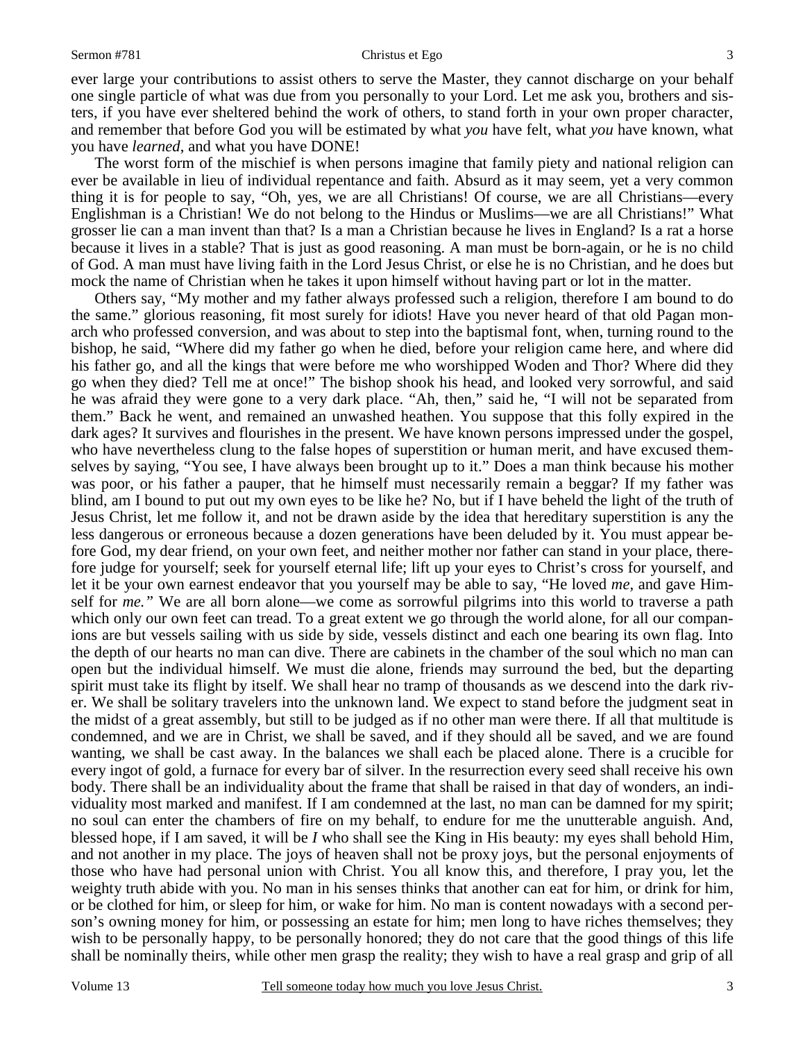#### Sermon #781 Christus et Ego

ever large your contributions to assist others to serve the Master, they cannot discharge on your behalf one single particle of what was due from you personally to your Lord. Let me ask you, brothers and sisters, if you have ever sheltered behind the work of others, to stand forth in your own proper character, and remember that before God you will be estimated by what *you* have felt, what *you* have known, what you have *learned*, and what you have DONE!

 The worst form of the mischief is when persons imagine that family piety and national religion can ever be available in lieu of individual repentance and faith. Absurd as it may seem, yet a very common thing it is for people to say, "Oh, yes, we are all Christians! Of course, we are all Christians—every Englishman is a Christian! We do not belong to the Hindus or Muslims—we are all Christians!" What grosser lie can a man invent than that? Is a man a Christian because he lives in England? Is a rat a horse because it lives in a stable? That is just as good reasoning. A man must be born-again, or he is no child of God. A man must have living faith in the Lord Jesus Christ, or else he is no Christian, and he does but mock the name of Christian when he takes it upon himself without having part or lot in the matter.

 Others say, "My mother and my father always professed such a religion, therefore I am bound to do the same." glorious reasoning, fit most surely for idiots! Have you never heard of that old Pagan monarch who professed conversion, and was about to step into the baptismal font, when, turning round to the bishop, he said, "Where did my father go when he died, before your religion came here, and where did his father go, and all the kings that were before me who worshipped Woden and Thor? Where did they go when they died? Tell me at once!" The bishop shook his head, and looked very sorrowful, and said he was afraid they were gone to a very dark place. "Ah, then," said he, "I will not be separated from them." Back he went, and remained an unwashed heathen. You suppose that this folly expired in the dark ages? It survives and flourishes in the present. We have known persons impressed under the gospel, who have nevertheless clung to the false hopes of superstition or human merit, and have excused themselves by saying, "You see, I have always been brought up to it." Does a man think because his mother was poor, or his father a pauper, that he himself must necessarily remain a beggar? If my father was blind, am I bound to put out my own eyes to be like he? No, but if I have beheld the light of the truth of Jesus Christ, let me follow it, and not be drawn aside by the idea that hereditary superstition is any the less dangerous or erroneous because a dozen generations have been deluded by it. You must appear before God, my dear friend, on your own feet, and neither mother nor father can stand in your place, therefore judge for yourself; seek for yourself eternal life; lift up your eyes to Christ's cross for yourself, and let it be your own earnest endeavor that you yourself may be able to say, "He loved *me*, and gave Himself for *me."* We are all born alone—we come as sorrowful pilgrims into this world to traverse a path which only our own feet can tread. To a great extent we go through the world alone, for all our companions are but vessels sailing with us side by side, vessels distinct and each one bearing its own flag. Into the depth of our hearts no man can dive. There are cabinets in the chamber of the soul which no man can open but the individual himself. We must die alone, friends may surround the bed, but the departing spirit must take its flight by itself. We shall hear no tramp of thousands as we descend into the dark river. We shall be solitary travelers into the unknown land. We expect to stand before the judgment seat in the midst of a great assembly, but still to be judged as if no other man were there. If all that multitude is condemned, and we are in Christ, we shall be saved, and if they should all be saved, and we are found wanting, we shall be cast away. In the balances we shall each be placed alone. There is a crucible for every ingot of gold, a furnace for every bar of silver. In the resurrection every seed shall receive his own body. There shall be an individuality about the frame that shall be raised in that day of wonders, an individuality most marked and manifest. If I am condemned at the last, no man can be damned for my spirit; no soul can enter the chambers of fire on my behalf, to endure for me the unutterable anguish. And, blessed hope, if I am saved, it will be *I* who shall see the King in His beauty: my eyes shall behold Him, and not another in my place. The joys of heaven shall not be proxy joys, but the personal enjoyments of those who have had personal union with Christ. You all know this, and therefore, I pray you, let the weighty truth abide with you. No man in his senses thinks that another can eat for him, or drink for him, or be clothed for him, or sleep for him, or wake for him. No man is content nowadays with a second person's owning money for him, or possessing an estate for him; men long to have riches themselves; they wish to be personally happy, to be personally honored; they do not care that the good things of this life shall be nominally theirs, while other men grasp the reality; they wish to have a real grasp and grip of all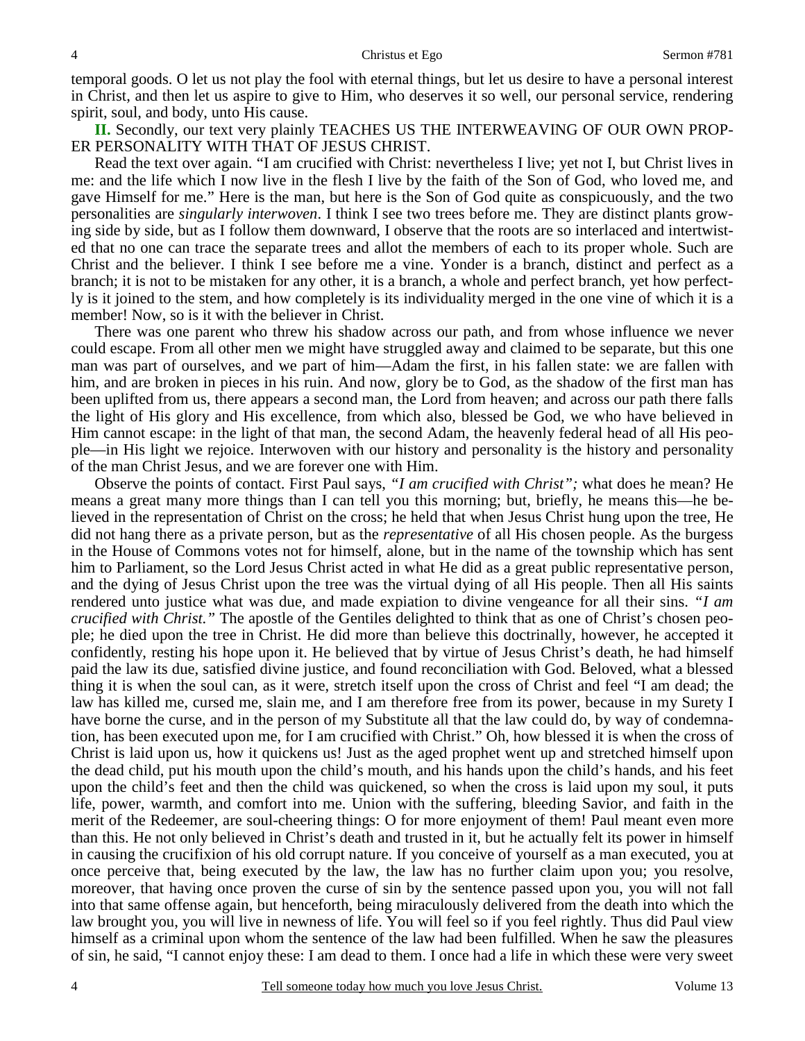temporal goods. O let us not play the fool with eternal things, but let us desire to have a personal interest in Christ, and then let us aspire to give to Him, who deserves it so well, our personal service, rendering spirit, soul, and body, unto His cause.

**II.** Secondly, our text very plainly TEACHES US THE INTERWEAVING OF OUR OWN PROP-ER PERSONALITY WITH THAT OF JESUS CHRIST.

 Read the text over again. "I am crucified with Christ: nevertheless I live; yet not I, but Christ lives in me: and the life which I now live in the flesh I live by the faith of the Son of God, who loved me, and gave Himself for me." Here is the man, but here is the Son of God quite as conspicuously, and the two personalities are *singularly interwoven*. I think I see two trees before me. They are distinct plants growing side by side, but as I follow them downward, I observe that the roots are so interlaced and intertwisted that no one can trace the separate trees and allot the members of each to its proper whole. Such are Christ and the believer. I think I see before me a vine. Yonder is a branch, distinct and perfect as a branch; it is not to be mistaken for any other, it is a branch, a whole and perfect branch, yet how perfectly is it joined to the stem, and how completely is its individuality merged in the one vine of which it is a member! Now, so is it with the believer in Christ.

 There was one parent who threw his shadow across our path, and from whose influence we never could escape. From all other men we might have struggled away and claimed to be separate, but this one man was part of ourselves, and we part of him—Adam the first, in his fallen state: we are fallen with him, and are broken in pieces in his ruin. And now, glory be to God, as the shadow of the first man has been uplifted from us, there appears a second man, the Lord from heaven; and across our path there falls the light of His glory and His excellence, from which also, blessed be God, we who have believed in Him cannot escape: in the light of that man, the second Adam, the heavenly federal head of all His people—in His light we rejoice. Interwoven with our history and personality is the history and personality of the man Christ Jesus, and we are forever one with Him.

 Observe the points of contact. First Paul says, *"I am crucified with Christ";* what does he mean? He means a great many more things than I can tell you this morning; but, briefly, he means this—he believed in the representation of Christ on the cross; he held that when Jesus Christ hung upon the tree, He did not hang there as a private person, but as the *representative* of all His chosen people. As the burgess in the House of Commons votes not for himself, alone, but in the name of the township which has sent him to Parliament, so the Lord Jesus Christ acted in what He did as a great public representative person, and the dying of Jesus Christ upon the tree was the virtual dying of all His people. Then all His saints rendered unto justice what was due, and made expiation to divine vengeance for all their sins. *"I am crucified with Christ."* The apostle of the Gentiles delighted to think that as one of Christ's chosen people; he died upon the tree in Christ. He did more than believe this doctrinally, however, he accepted it confidently, resting his hope upon it. He believed that by virtue of Jesus Christ's death, he had himself paid the law its due, satisfied divine justice, and found reconciliation with God. Beloved, what a blessed thing it is when the soul can, as it were, stretch itself upon the cross of Christ and feel "I am dead; the law has killed me, cursed me, slain me, and I am therefore free from its power, because in my Surety I have borne the curse, and in the person of my Substitute all that the law could do, by way of condemnation, has been executed upon me, for I am crucified with Christ." Oh, how blessed it is when the cross of Christ is laid upon us, how it quickens us! Just as the aged prophet went up and stretched himself upon the dead child, put his mouth upon the child's mouth, and his hands upon the child's hands, and his feet upon the child's feet and then the child was quickened, so when the cross is laid upon my soul, it puts life, power, warmth, and comfort into me. Union with the suffering, bleeding Savior, and faith in the merit of the Redeemer, are soul-cheering things: O for more enjoyment of them! Paul meant even more than this. He not only believed in Christ's death and trusted in it, but he actually felt its power in himself in causing the crucifixion of his old corrupt nature. If you conceive of yourself as a man executed, you at once perceive that, being executed by the law, the law has no further claim upon you; you resolve, moreover, that having once proven the curse of sin by the sentence passed upon you, you will not fall into that same offense again, but henceforth, being miraculously delivered from the death into which the law brought you, you will live in newness of life. You will feel so if you feel rightly. Thus did Paul view himself as a criminal upon whom the sentence of the law had been fulfilled. When he saw the pleasures of sin, he said, "I cannot enjoy these: I am dead to them. I once had a life in which these were very sweet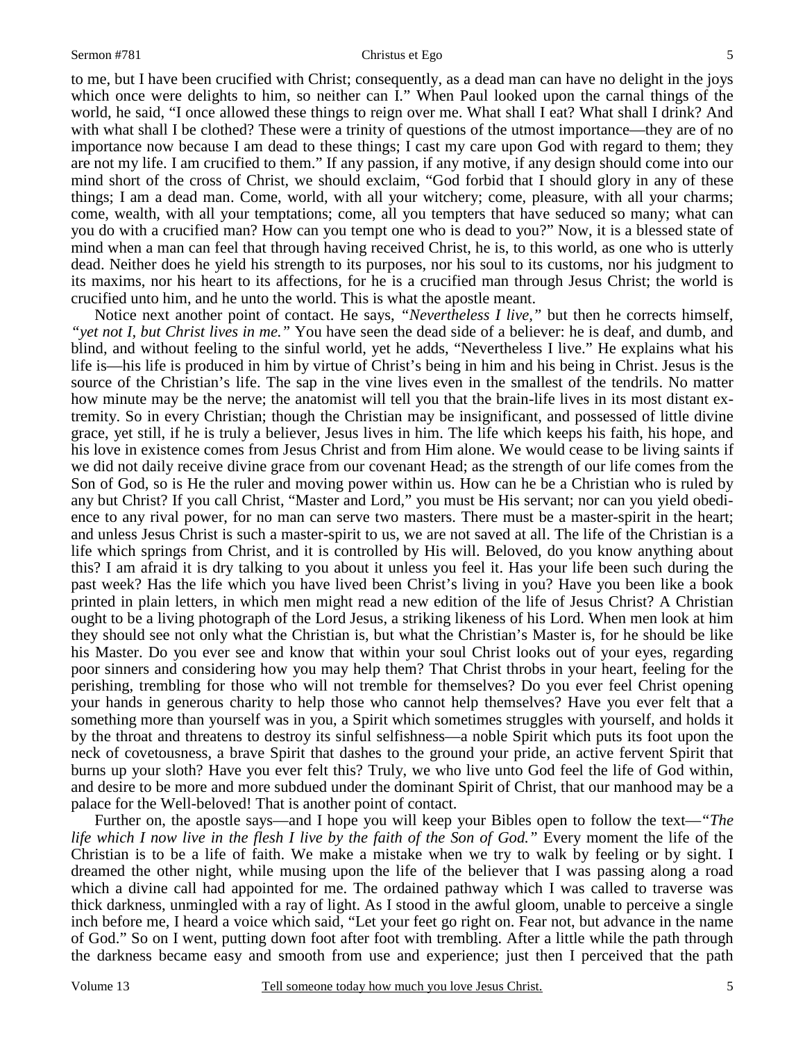to me, but I have been crucified with Christ; consequently, as a dead man can have no delight in the joys which once were delights to him, so neither can I." When Paul looked upon the carnal things of the world, he said, "I once allowed these things to reign over me. What shall I eat? What shall I drink? And with what shall I be clothed? These were a trinity of questions of the utmost importance—they are of no importance now because I am dead to these things; I cast my care upon God with regard to them; they are not my life. I am crucified to them." If any passion, if any motive, if any design should come into our mind short of the cross of Christ, we should exclaim, "God forbid that I should glory in any of these things; I am a dead man. Come, world, with all your witchery; come, pleasure, with all your charms; come, wealth, with all your temptations; come, all you tempters that have seduced so many; what can you do with a crucified man? How can you tempt one who is dead to you?" Now, it is a blessed state of mind when a man can feel that through having received Christ, he is, to this world, as one who is utterly dead. Neither does he yield his strength to its purposes, nor his soul to its customs, nor his judgment to its maxims, nor his heart to its affections, for he is a crucified man through Jesus Christ; the world is crucified unto him, and he unto the world. This is what the apostle meant.

 Notice next another point of contact. He says, *"Nevertheless I live,"* but then he corrects himself, *"yet not I, but Christ lives in me."* You have seen the dead side of a believer: he is deaf, and dumb, and blind, and without feeling to the sinful world, yet he adds, "Nevertheless I live." He explains what his life is—his life is produced in him by virtue of Christ's being in him and his being in Christ. Jesus is the source of the Christian's life. The sap in the vine lives even in the smallest of the tendrils. No matter how minute may be the nerve; the anatomist will tell you that the brain-life lives in its most distant extremity. So in every Christian; though the Christian may be insignificant, and possessed of little divine grace, yet still, if he is truly a believer, Jesus lives in him. The life which keeps his faith, his hope, and his love in existence comes from Jesus Christ and from Him alone. We would cease to be living saints if we did not daily receive divine grace from our covenant Head; as the strength of our life comes from the Son of God, so is He the ruler and moving power within us. How can he be a Christian who is ruled by any but Christ? If you call Christ, "Master and Lord," you must be His servant; nor can you yield obedience to any rival power, for no man can serve two masters. There must be a master-spirit in the heart; and unless Jesus Christ is such a master-spirit to us, we are not saved at all. The life of the Christian is a life which springs from Christ, and it is controlled by His will. Beloved, do you know anything about this? I am afraid it is dry talking to you about it unless you feel it. Has your life been such during the past week? Has the life which you have lived been Christ's living in you? Have you been like a book printed in plain letters, in which men might read a new edition of the life of Jesus Christ? A Christian ought to be a living photograph of the Lord Jesus, a striking likeness of his Lord. When men look at him they should see not only what the Christian is, but what the Christian's Master is, for he should be like his Master. Do you ever see and know that within your soul Christ looks out of your eyes, regarding poor sinners and considering how you may help them? That Christ throbs in your heart, feeling for the perishing, trembling for those who will not tremble for themselves? Do you ever feel Christ opening your hands in generous charity to help those who cannot help themselves? Have you ever felt that a something more than yourself was in you, a Spirit which sometimes struggles with yourself, and holds it by the throat and threatens to destroy its sinful selfishness—a noble Spirit which puts its foot upon the neck of covetousness, a brave Spirit that dashes to the ground your pride, an active fervent Spirit that burns up your sloth? Have you ever felt this? Truly, we who live unto God feel the life of God within, and desire to be more and more subdued under the dominant Spirit of Christ, that our manhood may be a palace for the Well-beloved! That is another point of contact.

 Further on, the apostle says—and I hope you will keep your Bibles open to follow the text—*"The life which I now live in the flesh I live by the faith of the Son of God."* Every moment the life of the Christian is to be a life of faith. We make a mistake when we try to walk by feeling or by sight. I dreamed the other night, while musing upon the life of the believer that I was passing along a road which a divine call had appointed for me. The ordained pathway which I was called to traverse was thick darkness, unmingled with a ray of light. As I stood in the awful gloom, unable to perceive a single inch before me, I heard a voice which said, "Let your feet go right on. Fear not, but advance in the name of God." So on I went, putting down foot after foot with trembling. After a little while the path through the darkness became easy and smooth from use and experience; just then I perceived that the path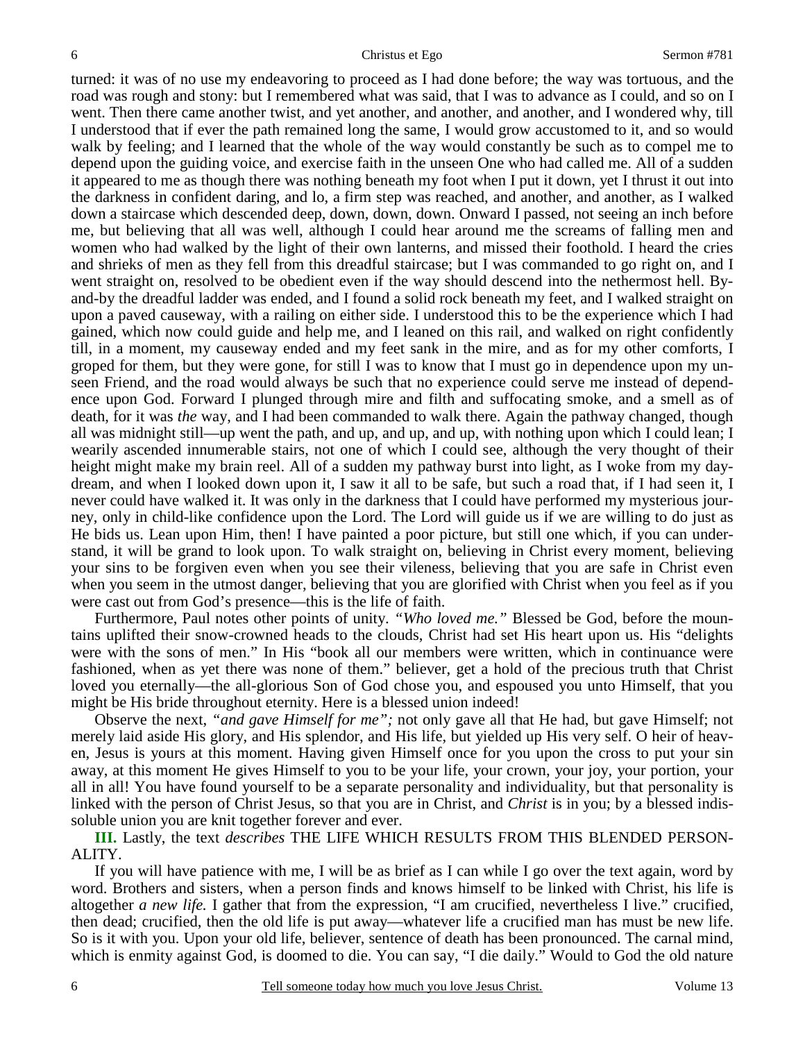turned: it was of no use my endeavoring to proceed as I had done before; the way was tortuous, and the road was rough and stony: but I remembered what was said, that I was to advance as I could, and so on I went. Then there came another twist, and yet another, and another, and another, and I wondered why, till I understood that if ever the path remained long the same, I would grow accustomed to it, and so would walk by feeling; and I learned that the whole of the way would constantly be such as to compel me to depend upon the guiding voice, and exercise faith in the unseen One who had called me. All of a sudden it appeared to me as though there was nothing beneath my foot when I put it down, yet I thrust it out into the darkness in confident daring, and lo, a firm step was reached, and another, and another, as I walked down a staircase which descended deep, down, down, down. Onward I passed, not seeing an inch before me, but believing that all was well, although I could hear around me the screams of falling men and women who had walked by the light of their own lanterns, and missed their foothold. I heard the cries and shrieks of men as they fell from this dreadful staircase; but I was commanded to go right on, and I went straight on, resolved to be obedient even if the way should descend into the nethermost hell. Byand-by the dreadful ladder was ended, and I found a solid rock beneath my feet, and I walked straight on upon a paved causeway, with a railing on either side. I understood this to be the experience which I had gained, which now could guide and help me, and I leaned on this rail, and walked on right confidently till, in a moment, my causeway ended and my feet sank in the mire, and as for my other comforts, I groped for them, but they were gone, for still I was to know that I must go in dependence upon my unseen Friend, and the road would always be such that no experience could serve me instead of dependence upon God. Forward I plunged through mire and filth and suffocating smoke, and a smell as of death, for it was *the* way, and I had been commanded to walk there. Again the pathway changed, though all was midnight still—up went the path, and up, and up, and up, with nothing upon which I could lean; I wearily ascended innumerable stairs, not one of which I could see, although the very thought of their height might make my brain reel. All of a sudden my pathway burst into light, as I woke from my daydream, and when I looked down upon it, I saw it all to be safe, but such a road that, if I had seen it, I never could have walked it. It was only in the darkness that I could have performed my mysterious journey, only in child-like confidence upon the Lord. The Lord will guide us if we are willing to do just as He bids us. Lean upon Him, then! I have painted a poor picture, but still one which, if you can understand, it will be grand to look upon. To walk straight on, believing in Christ every moment, believing your sins to be forgiven even when you see their vileness, believing that you are safe in Christ even when you seem in the utmost danger, believing that you are glorified with Christ when you feel as if you were cast out from God's presence—this is the life of faith.

 Furthermore, Paul notes other points of unity. *"Who loved me."* Blessed be God, before the mountains uplifted their snow-crowned heads to the clouds, Christ had set His heart upon us. His "delights were with the sons of men." In His "book all our members were written, which in continuance were fashioned, when as yet there was none of them." believer, get a hold of the precious truth that Christ loved you eternally—the all-glorious Son of God chose you, and espoused you unto Himself, that you might be His bride throughout eternity. Here is a blessed union indeed!

 Observe the next, *"and gave Himself for me";* not only gave all that He had, but gave Himself; not merely laid aside His glory, and His splendor, and His life, but yielded up His very self. O heir of heaven, Jesus is yours at this moment. Having given Himself once for you upon the cross to put your sin away, at this moment He gives Himself to you to be your life, your crown, your joy, your portion, your all in all! You have found yourself to be a separate personality and individuality, but that personality is linked with the person of Christ Jesus, so that you are in Christ, and *Christ* is in you; by a blessed indissoluble union you are knit together forever and ever.

**III.** Lastly, the text *describes* THE LIFE WHICH RESULTS FROM THIS BLENDED PERSON-ALITY.

 If you will have patience with me, I will be as brief as I can while I go over the text again, word by word. Brothers and sisters, when a person finds and knows himself to be linked with Christ, his life is altogether *a new life.* I gather that from the expression, "I am crucified, nevertheless I live." crucified, then dead; crucified, then the old life is put away—whatever life a crucified man has must be new life. So is it with you. Upon your old life, believer, sentence of death has been pronounced. The carnal mind, which is enmity against God, is doomed to die. You can say, "I die daily." Would to God the old nature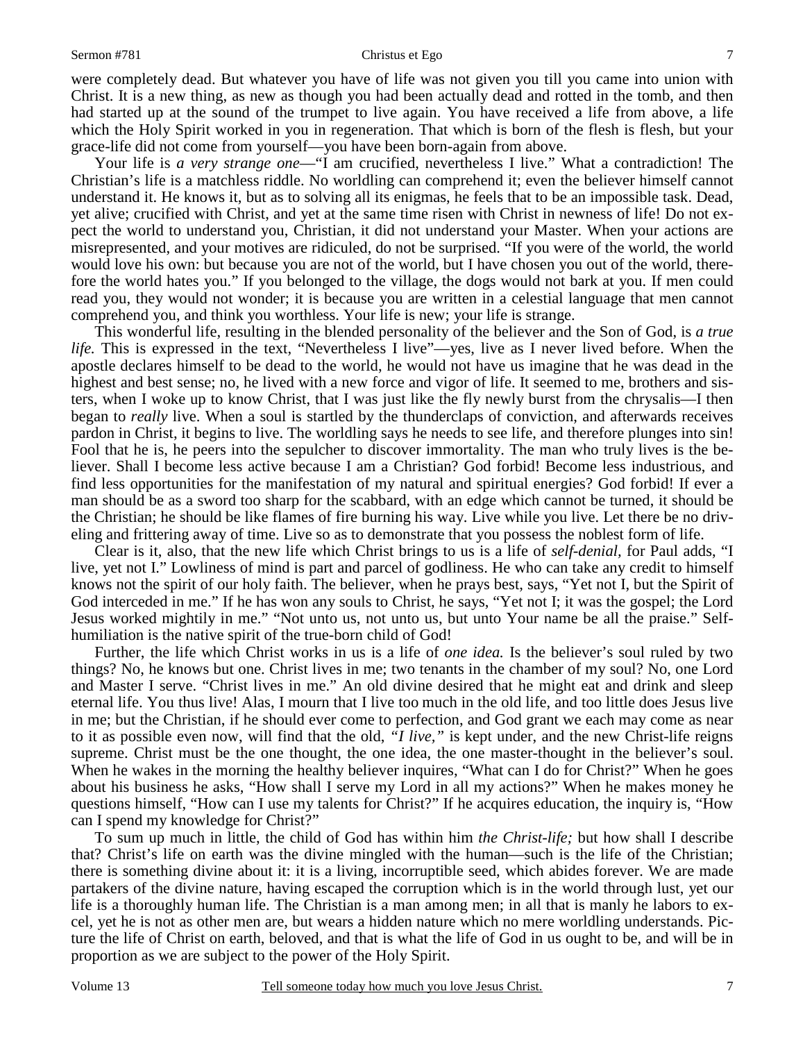#### Sermon #781 Christus et Ego

were completely dead. But whatever you have of life was not given you till you came into union with Christ. It is a new thing, as new as though you had been actually dead and rotted in the tomb, and then had started up at the sound of the trumpet to live again. You have received a life from above, a life which the Holy Spirit worked in you in regeneration. That which is born of the flesh is flesh, but your grace-life did not come from yourself—you have been born-again from above.

Your life is *a very strange one*—"I am crucified, nevertheless I live." What a contradiction! The Christian's life is a matchless riddle. No worldling can comprehend it; even the believer himself cannot understand it. He knows it, but as to solving all its enigmas, he feels that to be an impossible task. Dead, yet alive; crucified with Christ, and yet at the same time risen with Christ in newness of life! Do not expect the world to understand you, Christian, it did not understand your Master. When your actions are misrepresented, and your motives are ridiculed, do not be surprised. "If you were of the world, the world would love his own: but because you are not of the world, but I have chosen you out of the world, therefore the world hates you." If you belonged to the village, the dogs would not bark at you. If men could read you, they would not wonder; it is because you are written in a celestial language that men cannot comprehend you, and think you worthless. Your life is new; your life is strange.

 This wonderful life, resulting in the blended personality of the believer and the Son of God, is *a true life.* This is expressed in the text, "Nevertheless I live"—yes, live as I never lived before. When the apostle declares himself to be dead to the world, he would not have us imagine that he was dead in the highest and best sense; no, he lived with a new force and vigor of life. It seemed to me, brothers and sisters, when I woke up to know Christ, that I was just like the fly newly burst from the chrysalis—I then began to *really* live. When a soul is startled by the thunderclaps of conviction, and afterwards receives pardon in Christ, it begins to live. The worldling says he needs to see life, and therefore plunges into sin! Fool that he is, he peers into the sepulcher to discover immortality. The man who truly lives is the believer. Shall I become less active because I am a Christian? God forbid! Become less industrious, and find less opportunities for the manifestation of my natural and spiritual energies? God forbid! If ever a man should be as a sword too sharp for the scabbard, with an edge which cannot be turned, it should be the Christian; he should be like flames of fire burning his way. Live while you live. Let there be no driveling and frittering away of time. Live so as to demonstrate that you possess the noblest form of life.

 Clear is it, also, that the new life which Christ brings to us is a life of *self-denial,* for Paul adds, "I live, yet not I." Lowliness of mind is part and parcel of godliness. He who can take any credit to himself knows not the spirit of our holy faith. The believer, when he prays best, says, "Yet not I, but the Spirit of God interceded in me." If he has won any souls to Christ, he says, "Yet not I; it was the gospel; the Lord Jesus worked mightily in me." "Not unto us, not unto us, but unto Your name be all the praise." Selfhumiliation is the native spirit of the true-born child of God!

 Further, the life which Christ works in us is a life of *one idea.* Is the believer's soul ruled by two things? No, he knows but one. Christ lives in me; two tenants in the chamber of my soul? No, one Lord and Master I serve. "Christ lives in me." An old divine desired that he might eat and drink and sleep eternal life. You thus live! Alas, I mourn that I live too much in the old life, and too little does Jesus live in me; but the Christian, if he should ever come to perfection, and God grant we each may come as near to it as possible even now, will find that the old, *"I live,"* is kept under, and the new Christ-life reigns supreme. Christ must be the one thought, the one idea, the one master-thought in the believer's soul. When he wakes in the morning the healthy believer inquires, "What can I do for Christ?" When he goes about his business he asks, "How shall I serve my Lord in all my actions?" When he makes money he questions himself, "How can I use my talents for Christ?" If he acquires education, the inquiry is, "How can I spend my knowledge for Christ?"

 To sum up much in little, the child of God has within him *the Christ-life;* but how shall I describe that? Christ's life on earth was the divine mingled with the human—such is the life of the Christian; there is something divine about it: it is a living, incorruptible seed, which abides forever. We are made partakers of the divine nature, having escaped the corruption which is in the world through lust, yet our life is a thoroughly human life. The Christian is a man among men; in all that is manly he labors to excel, yet he is not as other men are, but wears a hidden nature which no mere worldling understands. Picture the life of Christ on earth, beloved, and that is what the life of God in us ought to be, and will be in proportion as we are subject to the power of the Holy Spirit.